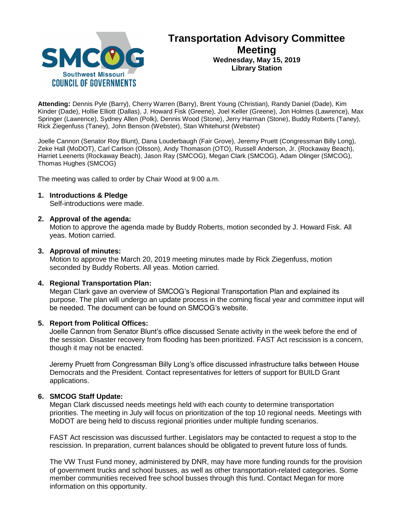

# **Transportation Advisory Committee Meeting Wednesday, May 15, 2019 Library Station**

**Attending:** Dennis Pyle (Barry), Cherry Warren (Barry), Brent Young (Christian), Randy Daniel (Dade), Kim Kinder (Dade), Hollie Elliott (Dallas), J. Howard Fisk (Greene), Joel Keller (Greene), Jon Holmes (Lawrence), Max Springer (Lawrence), Sydney Allen (Polk), Dennis Wood (Stone), Jerry Harman (Stone), Buddy Roberts (Taney), Rick Ziegenfuss (Taney), John Benson (Webster), Stan Whitehurst (Webster)

Joelle Cannon (Senator Roy Blunt), Dana Louderbaugh (Fair Grove), Jeremy Pruett (Congressman Billy Long), Zeke Hall (MoDOT), Carl Carlson (Olsson), Andy Thomason (OTO), Russell Anderson, Jr. (Rockaway Beach), Harriet Leenerts (Rockaway Beach), Jason Ray (SMCOG), Megan Clark (SMCOG), Adam Olinger (SMCOG), Thomas Hughes (SMCOG)

The meeting was called to order by Chair Wood at 9:00 a.m.

### **1. Introductions & Pledge**

Self-introductions were made.

### **2. Approval of the agenda:**

Motion to approve the agenda made by Buddy Roberts, motion seconded by J. Howard Fisk. All yeas. Motion carried.

### **3. Approval of minutes:**

Motion to approve the March 20, 2019 meeting minutes made by Rick Ziegenfuss, motion seconded by Buddy Roberts. All yeas. Motion carried.

# **4. Regional Transportation Plan:**

Megan Clark gave an overview of SMCOG's Regional Transportation Plan and explained its purpose. The plan will undergo an update process in the coming fiscal year and committee input will be needed. The document can be found on SMCOG's website.

#### **5. Report from Political Offices:**

Joelle Cannon from Senator Blunt's office discussed Senate activity in the week before the end of the session. Disaster recovery from flooding has been prioritized. FAST Act rescission is a concern, though it may not be enacted.

Jeremy Pruett from Congressman Billy Long's office discussed infrastructure talks between House Democrats and the President. Contact representatives for letters of support for BUILD Grant applications.

# **6. SMCOG Staff Update:**

Megan Clark discussed needs meetings held with each county to determine transportation priorities. The meeting in July will focus on prioritization of the top 10 regional needs. Meetings with MoDOT are being held to discuss regional priorities under multiple funding scenarios.

FAST Act rescission was discussed further. Legislators may be contacted to request a stop to the rescission. In preparation, current balances should be obligated to prevent future loss of funds.

The VW Trust Fund money, administered by DNR, may have more funding rounds for the provision of government trucks and school busses, as well as other transportation-related categories. Some member communities received free school busses through this fund. Contact Megan for more information on this opportunity.